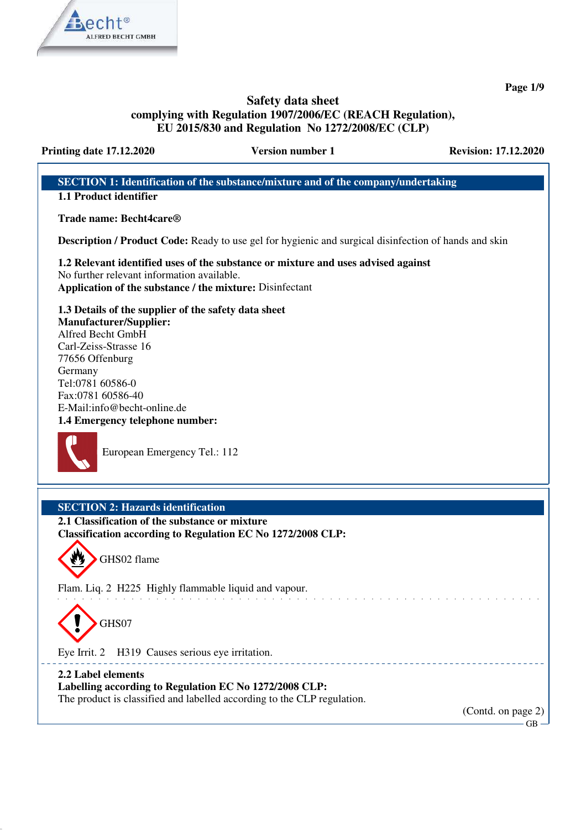

**Page 1/9**

# **Safety data sheet complying with Regulation 1907/2006/EC (REACH Regulation), EU 2015/830 and Regulation No 1272/2008/EC (CLP)**

**Printing date 17.12.2020 Version number 1 Revision: 17.12.2020**

# **SECTION 1: Identification of the substance/mixture and of the company/undertaking**

**1.1 Product identifier**

**Trade name: Becht4care®**

**Description / Product Code:** Ready to use gel for hygienic and surgical disinfection of hands and skin

and the state of the state of the

\_\_\_\_\_\_\_\_\_\_\_\_\_\_\_\_\_\_\_\_\_\_\_\_\_\_

**1.2 Relevant identified uses of the substance or mixture and uses advised against** No further relevant information available. **Application of the substance / the mixture:** Disinfectant

# **1.3 Details of the supplier of the safety data sheet**

**Manufacturer/Supplier:** Alfred Becht GmbH Carl-Zeiss-Strasse 16 77656 Offenburg Germany Tel:0781 60586-0 Fax:0781 60586-40 E-Mail:info@becht-online.de **1.4 Emergency telephone number:**



European Emergency Tel.: 112

# **SECTION 2: Hazards identification**

**2.1 Classification of the substance or mixture Classification according to Regulation EC No 1272/2008 CLP:**



Flam. Liq. 2 H225 Highly flammable liquid and vapour.



Eye Irrit. 2 H319 Causes serious eye irritation. 

# **2.2 Label elements**

**Labelling according to Regulation EC No 1272/2008 CLP:**

The product is classified and labelled according to the CLP regulation.

(Contd. on page 2)  $GR$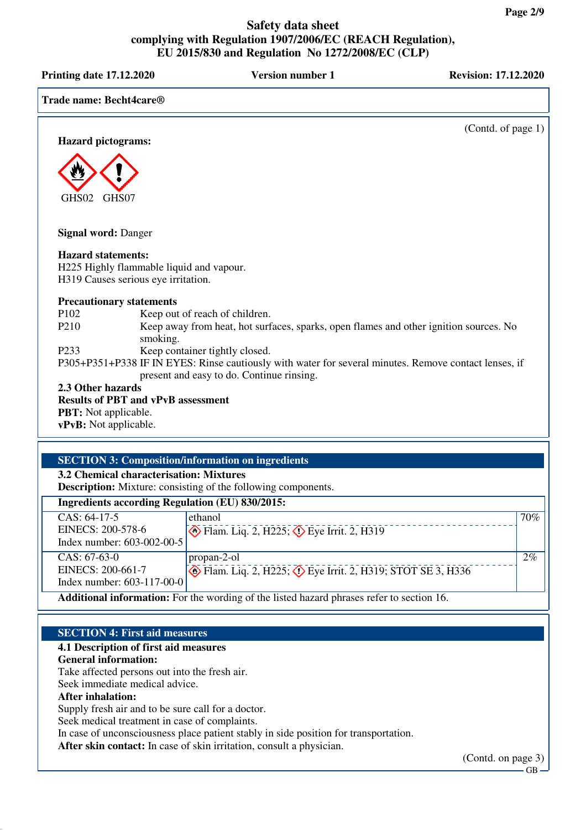| <b>Printing date 17.12.2020</b>     | <b>Version number 1</b>                                                                               | <b>Revision: 17.12.2020</b> |
|-------------------------------------|-------------------------------------------------------------------------------------------------------|-----------------------------|
| Trade name: Becht4care <sup>®</sup> |                                                                                                       |                             |
|                                     |                                                                                                       | (Contd. of page 1)          |
| <b>Hazard pictograms:</b>           |                                                                                                       |                             |
|                                     |                                                                                                       |                             |
| GHS02<br>GHS07                      |                                                                                                       |                             |
| <b>Signal word: Danger</b>          |                                                                                                       |                             |
| <b>Hazard statements:</b>           |                                                                                                       |                             |
|                                     | H225 Highly flammable liquid and vapour.                                                              |                             |
| H319 Causes serious eye irritation. |                                                                                                       |                             |
| <b>Precautionary statements</b>     |                                                                                                       |                             |
| P102                                | Keep out of reach of children.                                                                        |                             |
| P <sub>210</sub>                    | Keep away from heat, hot surfaces, sparks, open flames and other ignition sources. No<br>smoking.     |                             |
| P <sub>233</sub>                    | Keep container tightly closed.                                                                        |                             |
|                                     | P305+P351+P338 IF IN EYES: Rinse cautiously with water for several minutes. Remove contact lenses, if |                             |
|                                     | present and easy to do. Continue rinsing.                                                             |                             |
| 2.3 Other hazards                   |                                                                                                       |                             |
|                                     | <b>Results of PBT and vPvB assessment</b>                                                             |                             |
| <b>PBT:</b> Not applicable.         |                                                                                                       |                             |
| vPvB: Not applicable.               |                                                                                                       |                             |

# **SECTION 3: Composition/information on ingredients**

**3.2 Chemical characterisation: Mixtures**

**Description:** Mixture: consisting of the following components.

| <b>Ingredients according Regulation (EU) 830/2015:</b>                                   |                                                                         |     |
|------------------------------------------------------------------------------------------|-------------------------------------------------------------------------|-----|
| $CAS: 64-17-5$                                                                           | ethanol                                                                 | 70% |
| EINECS: 200-578-6                                                                        | $\circ$ Flam. Liq. 2, H225; $\circ$ Eye Irrit. 2, H319                  |     |
| Index number: 603-002-00-5                                                               |                                                                         |     |
| $CAS: 67-63-0$                                                                           | $ $ propan-2-ol                                                         | 2%  |
| EINECS: 200-661-7                                                                        | $\circ$ Flam. Liq. 2, H225; $\circ$ Eye Irrit. 2, H319; STOT SE 3, H336 |     |
| Index number: $603-117-00-0$                                                             |                                                                         |     |
| Additional information. For the wording of the listed begard phreese refer to section 16 |                                                                         |     |

**Additional information:** For the wording of the listed hazard phrases refer to section 16.

#### **SECTION 4: First aid measures**

#### **4.1 Description of first aid measures**

#### **General information:**

Take affected persons out into the fresh air.

Seek immediate medical advice.

# **After inhalation:**

Supply fresh air and to be sure call for a doctor.

Seek medical treatment in case of complaints.

In case of unconsciousness place patient stably in side position for transportation.

**After skin contact:** In case of skin irritation, consult a physician.

(Contd. on page 3)

GB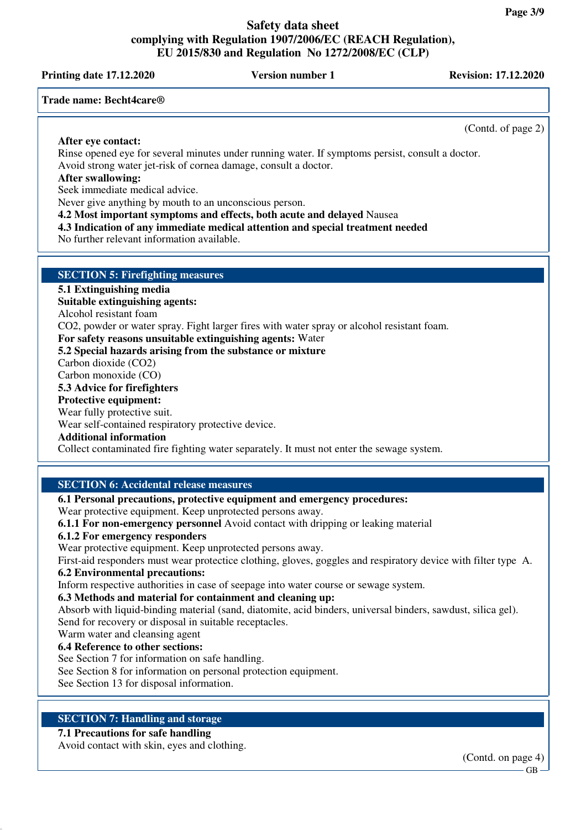**Printing date 17.12.2020 Version number 1 Revision: 17.12.2020** 

#### **Trade name: Becht4care®**

(Contd. of page 2)

**After eye contact:** Rinse opened eye for several minutes under running water. If symptoms persist, consult a doctor. Avoid strong water jet-risk of cornea damage, consult a doctor.

#### **After swallowing:**

Seek immediate medical advice.

Never give anything by mouth to an unconscious person.

**4.2 Most important symptoms and effects, both acute and delayed** Nausea

**4.3 Indication of any immediate medical attention and special treatment needed**

No further relevant information available.

#### **SECTION 5: Firefighting measures**

#### **5.1 Extinguishing media**

**Suitable extinguishing agents:**

Alcohol resistant foam

CO2, powder or water spray. Fight larger fires with water spray or alcohol resistant foam.

**For safety reasons unsuitable extinguishing agents:** Water

#### **5.2 Special hazards arising from the substance or mixture**

Carbon dioxide (CO2)

Carbon monoxide (CO)

#### **5.3 Advice for firefighters**

# **Protective equipment:**

Wear fully protective suit.

Wear self-contained respiratory protective device.

#### **Additional information**

Collect contaminated fire fighting water separately. It must not enter the sewage system.

# **SECTION 6: Accidental release measures**

**6.1 Personal precautions, protective equipment and emergency procedures:**

Wear protective equipment. Keep unprotected persons away.

**6.1.1 For non-emergency personnel** Avoid contact with dripping or leaking material

#### **6.1.2 For emergency responders**

Wear protective equipment. Keep unprotected persons away.

First-aid responders must wear protectice clothing, gloves, goggles and respiratory device with filter type A. **6.2 Environmental precautions:**

Inform respective authorities in case of seepage into water course or sewage system.

#### **6.3 Methods and material for containment and cleaning up:**

Absorb with liquid-binding material (sand, diatomite, acid binders, universal binders, sawdust, silica gel). Send for recovery or disposal in suitable receptacles.

Warm water and cleansing agent

**6.4 Reference to other sections:**

See Section 7 for information on safe handling.

See Section 8 for information on personal protection equipment.

See Section 13 for disposal information.

# **SECTION 7: Handling and storage**

#### **7.1 Precautions for safe handling**

Avoid contact with skin, eyes and clothing.

(Contd. on page 4)

GB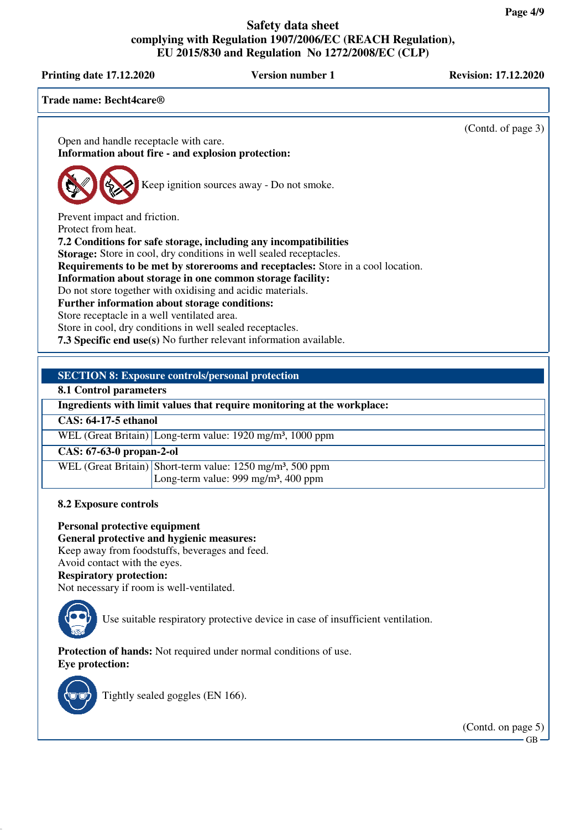**Printing date 17.12.2020 Version number 1 Revision: 17.12.2020** 

|                                                                                                                                        | (Contd. of page 3) |
|----------------------------------------------------------------------------------------------------------------------------------------|--------------------|
| Open and handle receptacle with care.                                                                                                  |                    |
| Information about fire - and explosion protection:                                                                                     |                    |
| Keep ignition sources away - Do not smoke.                                                                                             |                    |
| Prevent impact and friction.                                                                                                           |                    |
| Protect from heat.                                                                                                                     |                    |
| 7.2 Conditions for safe storage, including any incompatibilities<br>Storage: Store in cool, dry conditions in well sealed receptacles. |                    |
| Requirements to be met by storerooms and receptacles: Store in a cool location.                                                        |                    |
| Information about storage in one common storage facility:                                                                              |                    |
| Do not store together with oxidising and acidic materials.<br>Further information about storage conditions:                            |                    |
| Store receptacle in a well ventilated area.                                                                                            |                    |
| Store in cool, dry conditions in well sealed receptacles.                                                                              |                    |
| <b>7.3 Specific end use(s)</b> No further relevant information available.                                                              |                    |
|                                                                                                                                        |                    |
| <b>SECTION 8: Exposure controls/personal protection</b>                                                                                |                    |
| 8.1 Control parameters                                                                                                                 |                    |
| Ingredients with limit values that require monitoring at the workplace:<br><b>CAS: 64-17-5 ethanol</b>                                 |                    |
| WEL (Great Britain) Long-term value: 1920 mg/m <sup>3</sup> , 1000 ppm                                                                 |                    |
| CAS: 67-63-0 propan-2-ol                                                                                                               |                    |
| WEL (Great Britain) Short-term value: $1250$ mg/m <sup>3</sup> , 500 ppm                                                               |                    |
| Long-term value: 999 mg/m <sup>3</sup> , 400 ppm                                                                                       |                    |
| 8.2 Exposure controls                                                                                                                  |                    |
| <b>Personal protective equipment</b>                                                                                                   |                    |
| General protective and hygienic measures:                                                                                              |                    |
| Keep away from foodstuffs, beverages and feed.<br>Avoid contact with the eyes.                                                         |                    |
| <b>Respiratory protection:</b>                                                                                                         |                    |
| Not necessary if room is well-ventilated.                                                                                              |                    |
| Use suitable respiratory protective device in case of insufficient ventilation.                                                        |                    |
|                                                                                                                                        |                    |
| <b>Protection of hands:</b> Not required under normal conditions of use.<br><b>Eye protection:</b>                                     |                    |
| Tightly sealed goggles (EN 166).                                                                                                       |                    |
|                                                                                                                                        |                    |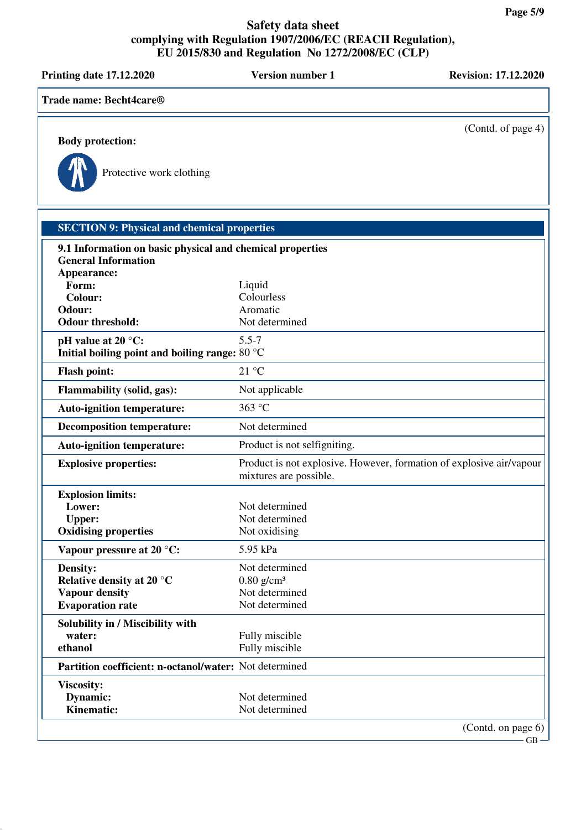| <b>Printing date 17.12.2020</b>                                                                        | <b>Version number 1</b>                                                                        | <b>Revision: 17.12.2020</b>     |
|--------------------------------------------------------------------------------------------------------|------------------------------------------------------------------------------------------------|---------------------------------|
| Trade name: Becht4care <sup>®</sup>                                                                    |                                                                                                |                                 |
| <b>Body protection:</b><br>Protective work clothing                                                    |                                                                                                | (Contd. of page 4)              |
| <b>SECTION 9: Physical and chemical properties</b>                                                     |                                                                                                |                                 |
| 9.1 Information on basic physical and chemical properties<br><b>General Information</b><br>Appearance: |                                                                                                |                                 |
| Form:<br><b>Colour:</b><br>Odour:<br><b>Odour threshold:</b>                                           | Liquid<br>Colourless<br>Aromatic<br>Not determined                                             |                                 |
| pH value at $20^{\circ}$ C:<br>Initial boiling point and boiling range: 80 °C                          | $5.5 - 7$                                                                                      |                                 |
| <b>Flash point:</b>                                                                                    | 21 °C                                                                                          |                                 |
| <b>Flammability (solid, gas):</b>                                                                      | Not applicable                                                                                 |                                 |
| <b>Auto-ignition temperature:</b>                                                                      | 363 °C                                                                                         |                                 |
| <b>Decomposition temperature:</b>                                                                      | Not determined                                                                                 |                                 |
| <b>Auto-ignition temperature:</b>                                                                      | Product is not selfigniting.                                                                   |                                 |
| <b>Explosive properties:</b>                                                                           | Product is not explosive. However, formation of explosive air/vapour<br>mixtures are possible. |                                 |
| <b>Explosion limits:</b><br>Lower:<br><b>Upper:</b><br><b>Oxidising properties</b>                     | Not determined<br>Not determined<br>Not oxidising                                              |                                 |
| Vapour pressure at 20 °C:                                                                              | 5.95 kPa                                                                                       |                                 |
| Density:<br>Relative density at 20 °C<br><b>Vapour density</b><br><b>Evaporation rate</b>              | Not determined<br>$0.80$ g/cm <sup>3</sup><br>Not determined<br>Not determined                 |                                 |
| Solubility in / Miscibility with<br>water:<br>ethanol                                                  | Fully miscible<br>Fully miscible                                                               |                                 |
| Partition coefficient: n-octanol/water: Not determined                                                 |                                                                                                |                                 |
| Viscosity:<br>Dynamic:<br><b>Kinematic:</b>                                                            | Not determined<br>Not determined                                                               |                                 |
|                                                                                                        |                                                                                                | (Contd. on page 6)<br><b>GB</b> |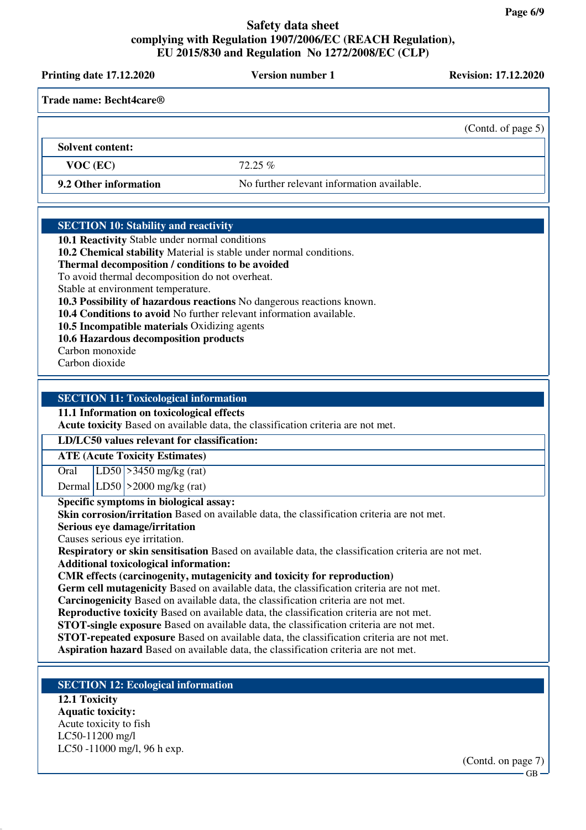# **Safety data sheet complying with Regulation 1907/2006/EC (REACH Regulation),**

| <b>Printing date 17.12.2020</b>                                                                                                                                                                      | <b>Version number 1</b>                                                                                                                                                                                                                                                                 | <b>Revision: 17.12.2020</b> |
|------------------------------------------------------------------------------------------------------------------------------------------------------------------------------------------------------|-----------------------------------------------------------------------------------------------------------------------------------------------------------------------------------------------------------------------------------------------------------------------------------------|-----------------------------|
| Trade name: Becht4care®                                                                                                                                                                              |                                                                                                                                                                                                                                                                                         |                             |
|                                                                                                                                                                                                      |                                                                                                                                                                                                                                                                                         | (Contd. of page 5)          |
| <b>Solvent content:</b>                                                                                                                                                                              |                                                                                                                                                                                                                                                                                         |                             |
| VOC (EC)                                                                                                                                                                                             | 72.25 %                                                                                                                                                                                                                                                                                 |                             |
| 9.2 Other information                                                                                                                                                                                | No further relevant information available.                                                                                                                                                                                                                                              |                             |
| <b>SECTION 10: Stability and reactivity</b><br>10.1 Reactivity Stable under normal conditions<br>Thermal decomposition / conditions to be avoided<br>To avoid thermal decomposition do not overheat. | 10.2 Chemical stability Material is stable under normal conditions.                                                                                                                                                                                                                     |                             |
| Stable at environment temperature.<br>10.5 Incompatible materials Oxidizing agents<br>10.6 Hazardous decomposition products<br>Carbon monoxide<br>Carbon dioxide                                     | 10.3 Possibility of hazardous reactions No dangerous reactions known.<br>10.4 Conditions to avoid No further relevant information available.                                                                                                                                            |                             |
| <b>SECTION 11: Toxicological information</b><br>11.1 Information on toxicological effects                                                                                                            | Acute toxicity Based on available data, the classification criteria are not met.                                                                                                                                                                                                        |                             |
| LD/LC50 values relevant for classification:<br><b>ATE (Acute Toxicity Estimates)</b>                                                                                                                 |                                                                                                                                                                                                                                                                                         |                             |
| LD50 $ >$ 3450 mg/kg (rat)<br>Oral<br>Dermal $ LD50  > 2000$ mg/kg (rat)                                                                                                                             |                                                                                                                                                                                                                                                                                         |                             |
| Specific symptoms in biological assay:<br>Serious eye damage/irritation<br>Causes serious eye irritation.                                                                                            | Skin corrosion/irritation Based on available data, the classification criteria are not met.                                                                                                                                                                                             |                             |
| <b>Additional toxicological information:</b>                                                                                                                                                         | Respiratory or skin sensitisation Based on available data, the classification criteria are not met.<br>CMR effects (carcinogenity, mutagenicity and toxicity for reproduction)                                                                                                          |                             |
|                                                                                                                                                                                                      | Germ cell mutagenicity Based on available data, the classification criteria are not met.<br>Carcinogenicity Based on available data, the classification criteria are not met.<br>Reproductive toxicity Based on available data, the classification criteria are not met.                |                             |
|                                                                                                                                                                                                      | <b>STOT-single exposure</b> Based on available data, the classification criteria are not met.<br><b>STOT-repeated exposure</b> Based on available data, the classification criteria are not met.<br>Aspiration hazard Based on available data, the classification criteria are not met. |                             |
| <b>SECTION 12: Ecological information</b>                                                                                                                                                            |                                                                                                                                                                                                                                                                                         |                             |
| 12.1 Toxicity                                                                                                                                                                                        |                                                                                                                                                                                                                                                                                         |                             |
| <b>Aquatic toxicity:</b><br>Acute toxicity to fish                                                                                                                                                   |                                                                                                                                                                                                                                                                                         |                             |
| LC50-11200 mg/l                                                                                                                                                                                      |                                                                                                                                                                                                                                                                                         |                             |

LC50 -11000 mg/l, 96 h exp.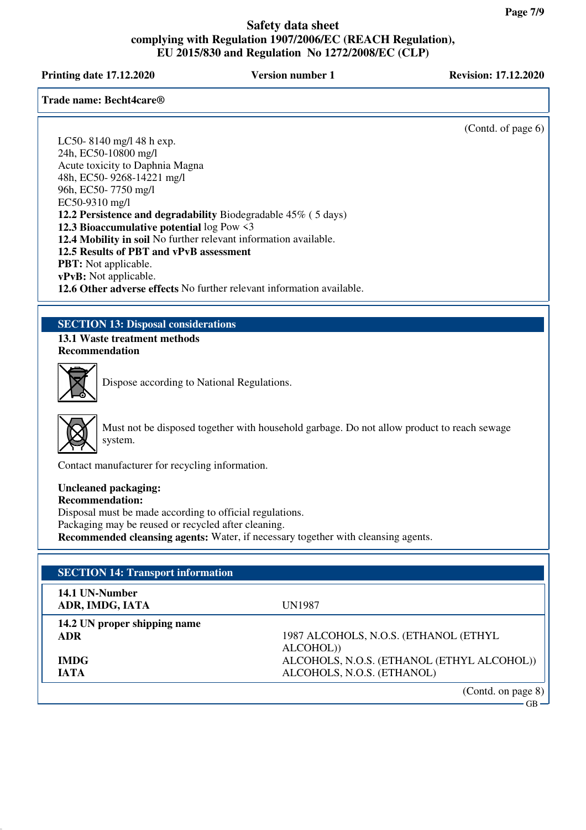**Printing date 17.12.2020 Version number 1 Revision: 17.12.2020**

**Trade name: Becht4care®**

(Contd. of page 6)

 $GB -$ 

LC50- 8140 mg/l 48 h exp. 24h, EC50-10800 mg/l Acute toxicity to Daphnia Magna 48h, EC50- 9268-14221 mg/l 96h, EC50- 7750 mg/l EC50-9310 mg/l **12.2 Persistence and degradability** Biodegradable 45% ( 5 days) **12.3 Bioaccumulative potential** log Pow <3 **12.4 Mobility in soil** No further relevant information available. **12.5 Results of PBT and vPvB assessment PBT:** Not applicable. **vPvB:** Not applicable. **12.6 Other adverse effects** No further relevant information available.

# **SECTION 13: Disposal considerations**

**13.1 Waste treatment methods Recommendation**



Dispose according to National Regulations.



Must not be disposed together with household garbage. Do not allow product to reach sewage system.

Contact manufacturer for recycling information.

# **Uncleaned packaging:**

**Recommendation:** Disposal must be made according to official regulations.

Packaging may be reused or recycled after cleaning.

**Recommended cleansing agents:** Water, if necessary together with cleansing agents.

| <b>SECTION 14: Transport information</b> |                                            |
|------------------------------------------|--------------------------------------------|
|                                          |                                            |
| 14.1 UN-Number<br>ADR, IMDG, IATA        | <b>UN1987</b>                              |
| 14.2 UN proper shipping name             |                                            |
| <b>ADR</b>                               | 1987 ALCOHOLS, N.O.S. (ETHANOL (ETHYL      |
|                                          | ALCOHOL))                                  |
| <b>IMDG</b>                              | ALCOHOLS, N.O.S. (ETHANOL (ETHYL ALCOHOL)) |
| <b>IATA</b>                              | ALCOHOLS, N.O.S. (ETHANOL)                 |
|                                          | (Contd. on page 8)                         |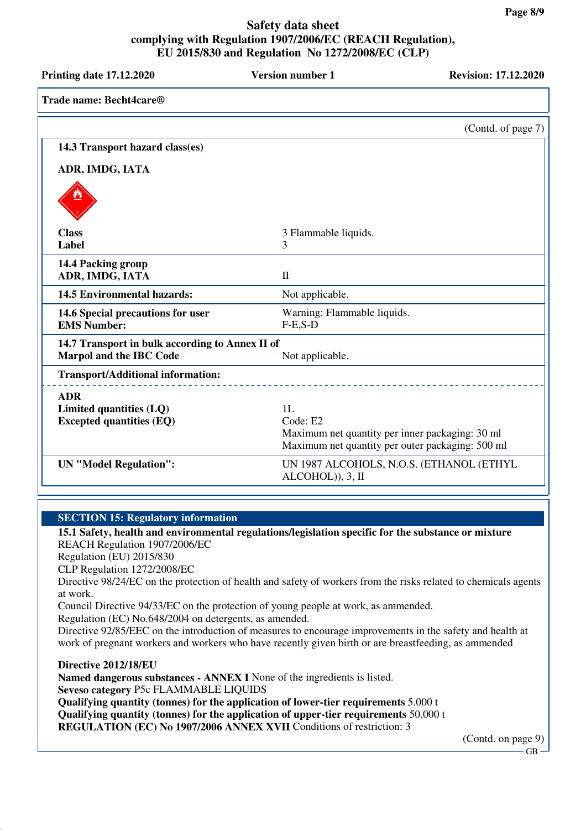| <b>Printing date 17.12.2020</b>                                          | <b>Version number 1</b>                                                                                               | <b>Revision: 17.12.2020</b> |
|--------------------------------------------------------------------------|-----------------------------------------------------------------------------------------------------------------------|-----------------------------|
| Trade name: Becht4care <sup>®</sup>                                      |                                                                                                                       |                             |
|                                                                          |                                                                                                                       | (Contd. of page 7)          |
| 14.3 Transport hazard class(es)                                          |                                                                                                                       |                             |
| ADR, IMDG, IATA                                                          |                                                                                                                       |                             |
|                                                                          |                                                                                                                       |                             |
| <b>Class</b>                                                             | 3 Flammable liquids.                                                                                                  |                             |
| Label                                                                    | 3                                                                                                                     |                             |
| 14.4 Packing group<br>ADR, IMDG, IATA                                    | $\mathbf{I}$                                                                                                          |                             |
| <b>14.5 Environmental hazards:</b>                                       | Not applicable.                                                                                                       |                             |
| 14.6 Special precautions for user<br><b>EMS Number:</b>                  | Warning: Flammable liquids.<br>$F-E$ , $S-D$                                                                          |                             |
| 14.7 Transport in bulk according to Annex II of                          |                                                                                                                       |                             |
| <b>Marpol and the IBC Code</b>                                           | Not applicable.                                                                                                       |                             |
| <b>Transport/Additional information:</b>                                 |                                                                                                                       |                             |
| <b>ADR</b><br>Limited quantities (LQ)<br><b>Excepted quantities (EQ)</b> | 1L<br>Code: E2<br>Maximum net quantity per inner packaging: 30 ml<br>Maximum net quantity per outer packaging: 500 ml |                             |
| <b>UN</b> "Model Regulation":                                            | UN 1987 ALCOHOLS, N.O.S. (ETHANOL (ETHYL<br>ALCOHOL)), 3, II                                                          |                             |

# **SECTION 15: Regulatory information**

**15.1 Safety, health and environmental regulations/legislation specific for the substance or mixture** REACH Regulation 1907/2006/EC

Regulation (EU) 2015/830

CLP Regulation 1272/2008/EC

Directive 98/24/EC on the protection of health and safety of workers from the risks related to chemicals agents at work.

Council Directive 94/33/EC on the protection of young people at work, as ammended.

Regulation (EC) No.648/2004 on detergents, as amended.

Directive 92/85/EEC on the introduction of measures to encourage improvements in the safety and health at work of pregnant workers and workers who have recently given birth or are breastfeeding, as ammended

**Directive 2012/18/EU**

**Named dangerous substances - ANNEX I** None of the ingredients is listed. **Seveso category** P5c FLAMMABLE LIQUIDS **Qualifying quantity (tonnes) for the application of lower-tier requirements** 5.000 t **Qualifying quantity (tonnes) for the application of upper-tier requirements** 50.000 t **REGULATION (EC) No 1907/2006 ANNEX XVII** Conditions of restriction: 3

(Contd. on page 9)

GB